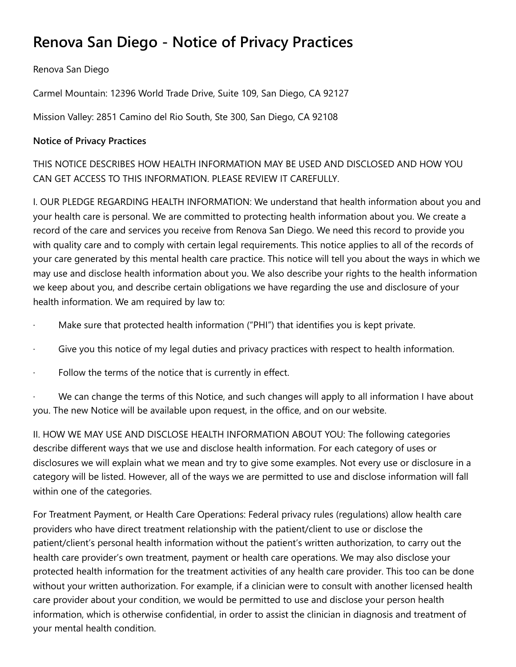# **Renova San Diego - Notice of Privacy Practices**

Renova San Diego

Carmel Mountain: 12396 World Trade Drive, Suite 109, San Diego, CA 92127

Mission Valley: 2851 Camino del Rio South, Ste 300, San Diego, CA 92108

## **Notice of Privacy Practices**

THIS NOTICE DESCRIBES HOW HEALTH INFORMATION MAY BE USED AND DISCLOSED AND HOW YOU CAN GET ACCESS TO THIS INFORMATION. PLEASE REVIEW IT CAREFULLY.

I. OUR PLEDGE REGARDING HEALTH INFORMATION: We understand that health information about you and your health care is personal. We are committed to protecting health information about you. We create a record of the care and services you receive from Renova San Diego. We need this record to provide you with quality care and to comply with certain legal requirements. This notice applies to all of the records of your care generated by this mental health care practice. This notice will tell you about the ways in which we may use and disclose health information about you. We also describe your rights to the health information we keep about you, and describe certain obligations we have regarding the use and disclosure of your health information. We am required by law to:

- Make sure that protected health information ("PHI") that identifies you is kept private.
- Give you this notice of my legal duties and privacy practices with respect to health information.
- Follow the terms of the notice that is currently in effect.

We can change the terms of this Notice, and such changes will apply to all information I have about you. The new Notice will be available upon request, in the office, and on our website.

II. HOW WE MAY USE AND DISCLOSE HEALTH INFORMATION ABOUT YOU: The following categories describe different ways that we use and disclose health information. For each category of uses or disclosures we will explain what we mean and try to give some examples. Not every use or disclosure in a category will be listed. However, all of the ways we are permitted to use and disclose information will fall within one of the categories.

For Treatment Payment, or Health Care Operations: Federal privacy rules (regulations) allow health care providers who have direct treatment relationship with the patient/client to use or disclose the patient/client's personal health information without the patient's written authorization, to carry out the health care provider's own treatment, payment or health care operations. We may also disclose your protected health information for the treatment activities of any health care provider. This too can be done without your written authorization. For example, if a clinician were to consult with another licensed health care provider about your condition, we would be permitted to use and disclose your person health information, which is otherwise confidential, in order to assist the clinician in diagnosis and treatment of your mental health condition.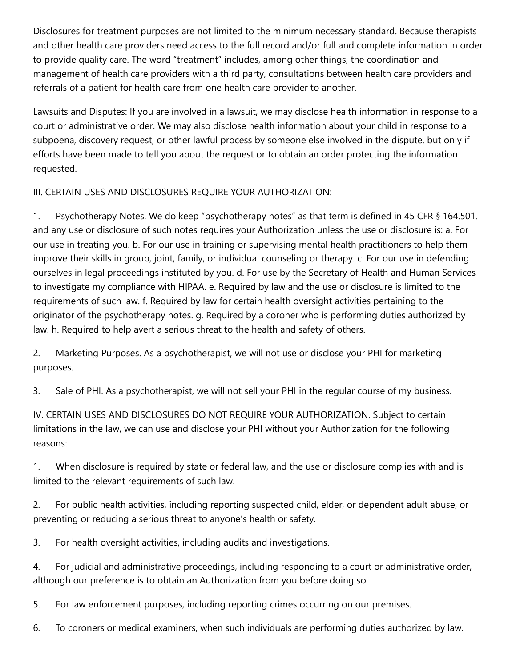Disclosures for treatment purposes are not limited to the minimum necessary standard. Because therapists and other health care providers need access to the full record and/or full and complete information in order to provide quality care. The word "treatment" includes, among other things, the coordination and management of health care providers with a third party, consultations between health care providers and referrals of a patient for health care from one health care provider to another.

Lawsuits and Disputes: If you are involved in a lawsuit, we may disclose health information in response to a court or administrative order. We may also disclose health information about your child in response to a subpoena, discovery request, or other lawful process by someone else involved in the dispute, but only if efforts have been made to tell you about the request or to obtain an order protecting the information requested.

III. CERTAIN USES AND DISCLOSURES REQUIRE YOUR AUTHORIZATION:

1. Psychotherapy Notes. We do keep "psychotherapy notes" as that term is defined in 45 CFR § 164.501, and any use or disclosure of such notes requires your Authorization unless the use or disclosure is: a. For our use in treating you. b. For our use in training or supervising mental health practitioners to help them improve their skills in group, joint, family, or individual counseling or therapy. c. For our use in defending ourselves in legal proceedings instituted by you. d. For use by the Secretary of Health and Human Services to investigate my compliance with HIPAA. e. Required by law and the use or disclosure is limited to the requirements of such law. f. Required by law for certain health oversight activities pertaining to the originator of the psychotherapy notes. g. Required by a coroner who is performing duties authorized by law. h. Required to help avert a serious threat to the health and safety of others.

2. Marketing Purposes. As a psychotherapist, we will not use or disclose your PHI for marketing purposes.

3. Sale of PHI. As a psychotherapist, we will not sell your PHI in the regular course of my business.

IV. CERTAIN USES AND DISCLOSURES DO NOT REQUIRE YOUR AUTHORIZATION. Subject to certain limitations in the law, we can use and disclose your PHI without your Authorization for the following reasons:

1. When disclosure is required by state or federal law, and the use or disclosure complies with and is limited to the relevant requirements of such law.

2. For public health activities, including reporting suspected child, elder, or dependent adult abuse, or preventing or reducing a serious threat to anyone's health or safety.

3. For health oversight activities, including audits and investigations.

4. For judicial and administrative proceedings, including responding to a court or administrative order, although our preference is to obtain an Authorization from you before doing so.

5. For law enforcement purposes, including reporting crimes occurring on our premises.

6. To coroners or medical examiners, when such individuals are performing duties authorized by law.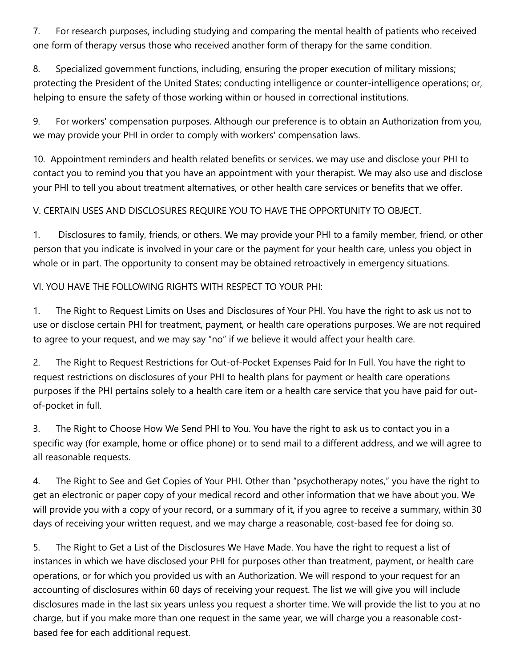7. For research purposes, including studying and comparing the mental health of patients who received one form of therapy versus those who received another form of therapy for the same condition.

8. Specialized government functions, including, ensuring the proper execution of military missions; protecting the President of the United States; conducting intelligence or counter-intelligence operations; or, helping to ensure the safety of those working within or housed in correctional institutions.

9. For workers' compensation purposes. Although our preference is to obtain an Authorization from you, we may provide your PHI in order to comply with workers' compensation laws.

10. Appointment reminders and health related benefits or services. we may use and disclose your PHI to contact you to remind you that you have an appointment with your therapist. We may also use and disclose your PHI to tell you about treatment alternatives, or other health care services or benefits that we offer.

### V. CERTAIN USES AND DISCLOSURES REQUIRE YOU TO HAVE THE OPPORTUNITY TO OBJECT.

1. Disclosures to family, friends, or others. We may provide your PHI to a family member, friend, or other person that you indicate is involved in your care or the payment for your health care, unless you object in whole or in part. The opportunity to consent may be obtained retroactively in emergency situations.

#### VI. YOU HAVE THE FOLLOWING RIGHTS WITH RESPECT TO YOUR PHI:

1. The Right to Request Limits on Uses and Disclosures of Your PHI. You have the right to ask us not to use or disclose certain PHI for treatment, payment, or health care operations purposes. We are not required to agree to your request, and we may say "no" if we believe it would affect your health care.

2. The Right to Request Restrictions for Out-of-Pocket Expenses Paid for In Full. You have the right to request restrictions on disclosures of your PHI to health plans for payment or health care operations purposes if the PHI pertains solely to a health care item or a health care service that you have paid for outof-pocket in full.

3. The Right to Choose How We Send PHI to You. You have the right to ask us to contact you in a specific way (for example, home or office phone) or to send mail to a different address, and we will agree to all reasonable requests.

4. The Right to See and Get Copies of Your PHI. Other than "psychotherapy notes," you have the right to get an electronic or paper copy of your medical record and other information that we have about you. We will provide you with a copy of your record, or a summary of it, if you agree to receive a summary, within 30 days of receiving your written request, and we may charge a reasonable, cost-based fee for doing so.

5. The Right to Get a List of the Disclosures We Have Made. You have the right to request a list of instances in which we have disclosed your PHI for purposes other than treatment, payment, or health care operations, or for which you provided us with an Authorization. We will respond to your request for an accounting of disclosures within 60 days of receiving your request. The list we will give you will include disclosures made in the last six years unless you request a shorter time. We will provide the list to you at no charge, but if you make more than one request in the same year, we will charge you a reasonable costbased fee for each additional request.